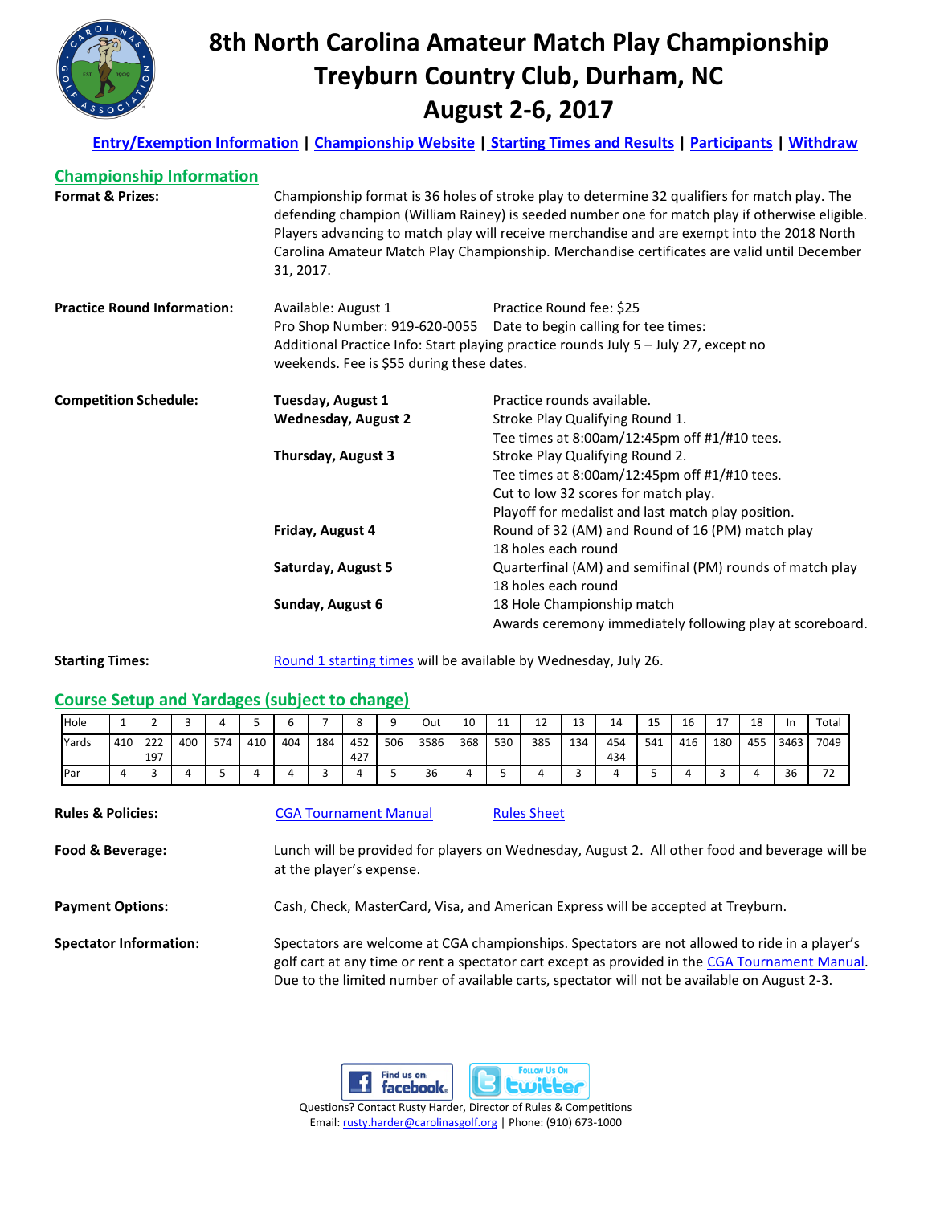

# **8th North Carolina Amateur Match Play Championship Treyburn Country Club, Durham, NC August 2-6, 2017**

**[Entry/Exemption Information](http://www.carolinasgolf.org/images/carolinasgolf/site/tourn/2017/entry/ncmatch.pdf) [| Championship Website](http://www.carolinasgolf.org/ncmatch) | [Starting Times and Results](https://www.golfgenius.com/pages/1089538) | [Participants](http://www.ghintpp.com/carolinasgolf/TPPOnlineGolfer/Participants.aspx?ID=2209) | [Withdraw](http://www.carolinasgolf.org/tournament_withdraw)**

| <b>Championship Information</b>    |                                                                                                                                                                                                                                                                                                                                                                                                            |                                                                    |  |  |  |  |  |
|------------------------------------|------------------------------------------------------------------------------------------------------------------------------------------------------------------------------------------------------------------------------------------------------------------------------------------------------------------------------------------------------------------------------------------------------------|--------------------------------------------------------------------|--|--|--|--|--|
| <b>Format &amp; Prizes:</b>        | Championship format is 36 holes of stroke play to determine 32 qualifiers for match play. The<br>defending champion (William Rainey) is seeded number one for match play if otherwise eligible.<br>Players advancing to match play will receive merchandise and are exempt into the 2018 North<br>Carolina Amateur Match Play Championship. Merchandise certificates are valid until December<br>31, 2017. |                                                                    |  |  |  |  |  |
| <b>Practice Round Information:</b> | Available: August 1                                                                                                                                                                                                                                                                                                                                                                                        | Practice Round fee: \$25                                           |  |  |  |  |  |
|                                    |                                                                                                                                                                                                                                                                                                                                                                                                            | Pro Shop Number: 919-620-0055 Date to begin calling for tee times: |  |  |  |  |  |
|                                    | Additional Practice Info: Start playing practice rounds July 5 - July 27, except no<br>weekends. Fee is \$55 during these dates.                                                                                                                                                                                                                                                                           |                                                                    |  |  |  |  |  |
| <b>Competition Schedule:</b>       | Tuesday, August 1                                                                                                                                                                                                                                                                                                                                                                                          | Practice rounds available.                                         |  |  |  |  |  |
|                                    | <b>Wednesday, August 2</b>                                                                                                                                                                                                                                                                                                                                                                                 | Stroke Play Qualifying Round 1.                                    |  |  |  |  |  |
|                                    |                                                                                                                                                                                                                                                                                                                                                                                                            | Tee times at 8:00am/12:45pm off #1/#10 tees.                       |  |  |  |  |  |
|                                    | Thursday, August 3                                                                                                                                                                                                                                                                                                                                                                                         | Stroke Play Qualifying Round 2.                                    |  |  |  |  |  |
|                                    |                                                                                                                                                                                                                                                                                                                                                                                                            | Tee times at 8:00am/12:45pm off #1/#10 tees.                       |  |  |  |  |  |
|                                    |                                                                                                                                                                                                                                                                                                                                                                                                            | Cut to low 32 scores for match play.                               |  |  |  |  |  |
|                                    |                                                                                                                                                                                                                                                                                                                                                                                                            | Playoff for medalist and last match play position.                 |  |  |  |  |  |
|                                    | Friday, August 4                                                                                                                                                                                                                                                                                                                                                                                           | Round of 32 (AM) and Round of 16 (PM) match play                   |  |  |  |  |  |
|                                    |                                                                                                                                                                                                                                                                                                                                                                                                            | 18 holes each round                                                |  |  |  |  |  |
|                                    | Saturday, August 5                                                                                                                                                                                                                                                                                                                                                                                         | Quarterfinal (AM) and semifinal (PM) rounds of match play          |  |  |  |  |  |
|                                    |                                                                                                                                                                                                                                                                                                                                                                                                            | 18 holes each round                                                |  |  |  |  |  |
|                                    | Sunday, August 6                                                                                                                                                                                                                                                                                                                                                                                           | 18 Hole Championship match                                         |  |  |  |  |  |
|                                    |                                                                                                                                                                                                                                                                                                                                                                                                            | Awards ceremony immediately following play at scoreboard.          |  |  |  |  |  |

**Starting Times:** [Round 1 starting times](https://www.golfgenius.com/pages/1089538) will be available by Wednesday, July 26.

### **Course Setup and Yardages (subject to change)**

| Hole       | <u>. на с</u> |            |     |     |     | ι.  |     |            |     | Out  | 10  | 11  | $\sim$<br>ᅩᄼ | <b></b> | 14         | $\sim$ $\sim$<br>TЭ | 16  | a 1 | 18  | -In       | Total                           |
|------------|---------------|------------|-----|-----|-----|-----|-----|------------|-----|------|-----|-----|--------------|---------|------------|---------------------|-----|-----|-----|-----------|---------------------------------|
| Yards      | 410           | 222<br>197 | 400 | 574 | 410 | 404 | 184 | 452<br>427 | 506 | 3586 | 368 | 530 | 385          | 134     | 454<br>434 | 541                 | 416 | 180 | 455 | 3463      | 7049                            |
| <b>Par</b> |               |            |     |     |     |     |     |            |     | 36   |     |     |              |         |            |                     |     |     |     | 36<br>ں ر | $\overline{\phantom{a}}$<br>. . |

| <b>Rules &amp; Policies:</b>  | <b>CGA Tournament Manual</b> | <b>Rules Sheet</b>                                                                                                                                                                                                                                                                               |
|-------------------------------|------------------------------|--------------------------------------------------------------------------------------------------------------------------------------------------------------------------------------------------------------------------------------------------------------------------------------------------|
| Food & Beverage:              | at the player's expense.     | Lunch will be provided for players on Wednesday, August 2. All other food and beverage will be                                                                                                                                                                                                   |
| <b>Payment Options:</b>       |                              | Cash, Check, MasterCard, Visa, and American Express will be accepted at Treyburn.                                                                                                                                                                                                                |
| <b>Spectator Information:</b> |                              | Spectators are welcome at CGA championships. Spectators are not allowed to ride in a player's<br>golf cart at any time or rent a spectator cart except as provided in the CGA Tournament Manual.<br>Due to the limited number of available carts, spectator will not be available on August 2-3. |



Email[: rusty.harder@carolinasgolf.org](mailto:rusty.harder@carolinasgolf.org) | Phone: (910) 673-1000